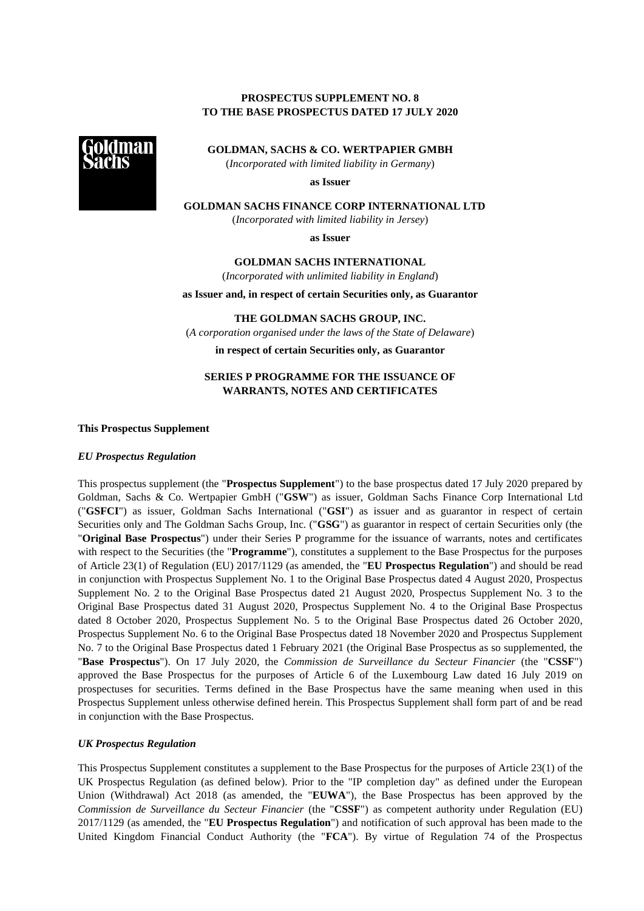# **PROSPECTUS SUPPLEMENT NO. 8 TO THE BASE PROSPECTUS DATED 17 JULY 2020**



**GOLDMAN, SACHS & CO. WERTPAPIER GMBH**

(*Incorporated with limited liability in Germany*)

**as Issuer**

**GOLDMAN SACHS FINANCE CORP INTERNATIONAL LTD**

(*Incorporated with limited liability in Jersey*)

**as Issuer**

**GOLDMAN SACHS INTERNATIONAL**

(*Incorporated with unlimited liability in England*)

**as Issuer and, in respect of certain Securities only, as Guarantor**

**THE GOLDMAN SACHS GROUP, INC.** (*A corporation organised under the laws of the State of Delaware*)

**in respect of certain Securities only, as Guarantor**

# **SERIES P PROGRAMME FOR THE ISSUANCE OF WARRANTS, NOTES AND CERTIFICATES**

**This Prospectus Supplement**

### *EU Prospectus Regulation*

This prospectus supplement (the "**Prospectus Supplement**") to the base prospectus dated 17 July 2020 prepared by Goldman, Sachs & Co. Wertpapier GmbH ("**GSW**") as issuer, Goldman Sachs Finance Corp International Ltd ("**GSFCI**") as issuer, Goldman Sachs International ("**GSI**") as issuer and as guarantor in respect of certain Securities only and The Goldman Sachs Group, Inc. ("**GSG**") as guarantor in respect of certain Securities only (the "**Original Base Prospectus**") under their Series P programme for the issuance of warrants, notes and certificates with respect to the Securities (the "**Programme**"), constitutes a supplement to the Base Prospectus for the purposes of Article 23(1) of Regulation (EU) 2017/1129 (as amended, the "**EU Prospectus Regulation**") and should be read in conjunction with Prospectus Supplement No. 1 to the Original Base Prospectus dated 4 August 2020, Prospectus Supplement No. 2 to the Original Base Prospectus dated 21 August 2020, Prospectus Supplement No. 3 to the Original Base Prospectus dated 31 August 2020, Prospectus Supplement No. 4 to the Original Base Prospectus dated 8 October 2020, Prospectus Supplement No. 5 to the Original Base Prospectus dated 26 October 2020, Prospectus Supplement No. 6 to the Original Base Prospectus dated 18 November 2020 and Prospectus Supplement No. 7 to the Original Base Prospectus dated 1 February 2021 (the Original Base Prospectus as so supplemented, the "**Base Prospectus**"). On 17 July 2020, the *Commission de Surveillance du Secteur Financier* (the "**CSSF**") approved the Base Prospectus for the purposes of Article 6 of the Luxembourg Law dated 16 July 2019 on prospectuses for securities. Terms defined in the Base Prospectus have the same meaning when used in this Prospectus Supplement unless otherwise defined herein. This Prospectus Supplement shall form part of and be read in conjunction with the Base Prospectus.

### *UK Prospectus Regulation*

This Prospectus Supplement constitutes a supplement to the Base Prospectus for the purposes of Article 23(1) of the UK Prospectus Regulation (as defined below). Prior to the "IP completion day" as defined under the European Union (Withdrawal) Act 2018 (as amended, the "**EUWA**"), the Base Prospectus has been approved by the *Commission de Surveillance du Secteur Financier* (the "**CSSF**") as competent authority under Regulation (EU) 2017/1129 (as amended, the "**EU Prospectus Regulation**") and notification of such approval has been made to the United Kingdom Financial Conduct Authority (the "**FCA**"). By virtue of Regulation 74 of the Prospectus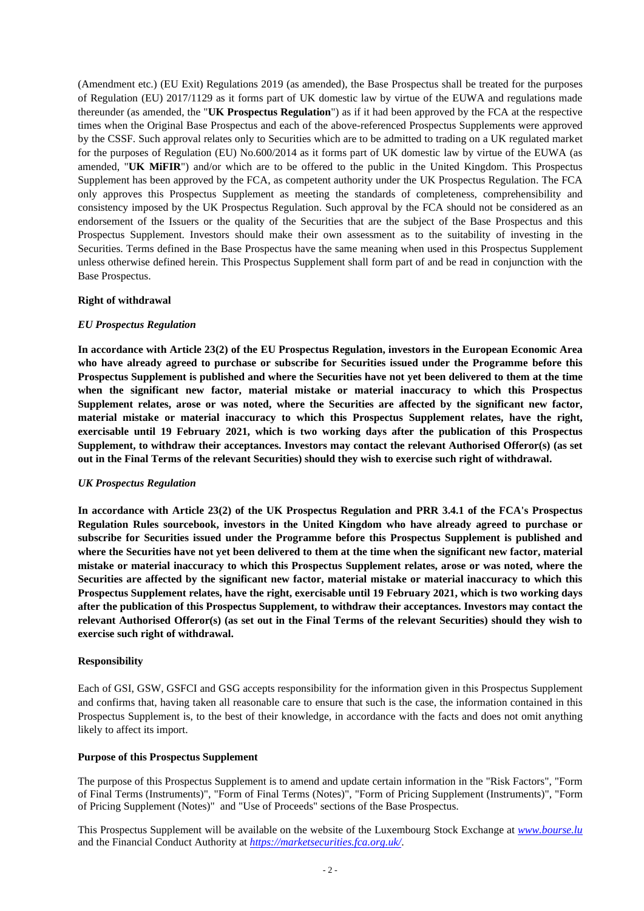(Amendment etc.) (EU Exit) Regulations 2019 (as amended), the Base Prospectus shall be treated for the purposes of Regulation (EU) 2017/1129 as it forms part of UK domestic law by virtue of the EUWA and regulations made thereunder (as amended, the "**UK Prospectus Regulation**") as if it had been approved by the FCA at the respective times when the Original Base Prospectus and each of the above-referenced Prospectus Supplements were approved by the CSSF. Such approval relates only to Securities which are to be admitted to trading on a UK regulated market for the purposes of Regulation (EU) No.600/2014 as it forms part of UK domestic law by virtue of the EUWA (as amended, "**UK MiFIR**") and/or which are to be offered to the public in the United Kingdom. This Prospectus Supplement has been approved by the FCA, as competent authority under the UK Prospectus Regulation. The FCA only approves this Prospectus Supplement as meeting the standards of completeness, comprehensibility and consistency imposed by the UK Prospectus Regulation. Such approval by the FCA should not be considered as an endorsement of the Issuers or the quality of the Securities that are the subject of the Base Prospectus and this Prospectus Supplement. Investors should make their own assessment as to the suitability of investing in the Securities. Terms defined in the Base Prospectus have the same meaning when used in this Prospectus Supplement unless otherwise defined herein. This Prospectus Supplement shall form part of and be read in conjunction with the Base Prospectus.

#### **Right of withdrawal**

### *EU Prospectus Regulation*

**In accordance with Article 23(2) of the EU Prospectus Regulation, investors in the European Economic Area who have already agreed to purchase or subscribe for Securities issued under the Programme before this Prospectus Supplement is published and where the Securities have not yet been delivered to them at the time when the significant new factor, material mistake or material inaccuracy to which this Prospectus Supplement relates, arose or was noted, where the Securities are affected by the significant new factor, material mistake or material inaccuracy to which this Prospectus Supplement relates, have the right, exercisable until 19 February 2021, which is two working days after the publication of this Prospectus Supplement, to withdraw their acceptances. Investors may contact the relevant Authorised Offeror(s) (as set out in the Final Terms of the relevant Securities) should they wish to exercise such right of withdrawal.**

### *UK Prospectus Regulation*

**In accordance with Article 23(2) of the UK Prospectus Regulation and PRR 3.4.1 of the FCA's Prospectus Regulation Rules sourcebook, investors in the United Kingdom who have already agreed to purchase or subscribe for Securities issued under the Programme before this Prospectus Supplement is published and where the Securities have not yet been delivered to them at the time when the significant new factor, material mistake or material inaccuracy to which this Prospectus Supplement relates, arose or was noted, where the Securities are affected by the significant new factor, material mistake or material inaccuracy to which this Prospectus Supplement relates, have the right, exercisable until 19 February 2021, which is two working days after the publication of this Prospectus Supplement, to withdraw their acceptances. Investors may contact the relevant Authorised Offeror(s) (as set out in the Final Terms of the relevant Securities) should they wish to exercise such right of withdrawal.**

### **Responsibility**

Each of GSI, GSW, GSFCI and GSG accepts responsibility for the information given in this Prospectus Supplement and confirms that, having taken all reasonable care to ensure that such is the case, the information contained in this Prospectus Supplement is, to the best of their knowledge, in accordance with the facts and does not omit anything likely to affect its import.

### **Purpose of this Prospectus Supplement**

The purpose of this Prospectus Supplement is to amend and update certain information in the "Risk Factors", "Form of Final Terms (Instruments)", "Form of Final Terms (Notes)", "Form of Pricing Supplement (Instruments)", "Form of Pricing Supplement (Notes)" and "Use of Proceeds" sections of the Base Prospectus.

This Prospectus Supplement will be available on the website of the Luxembourg Stock Exchange at *[www.bourse.lu](http://www.bourse.lu/)* and the Financial Conduct Authority at *https://marketsecurities.fca.org.uk/*.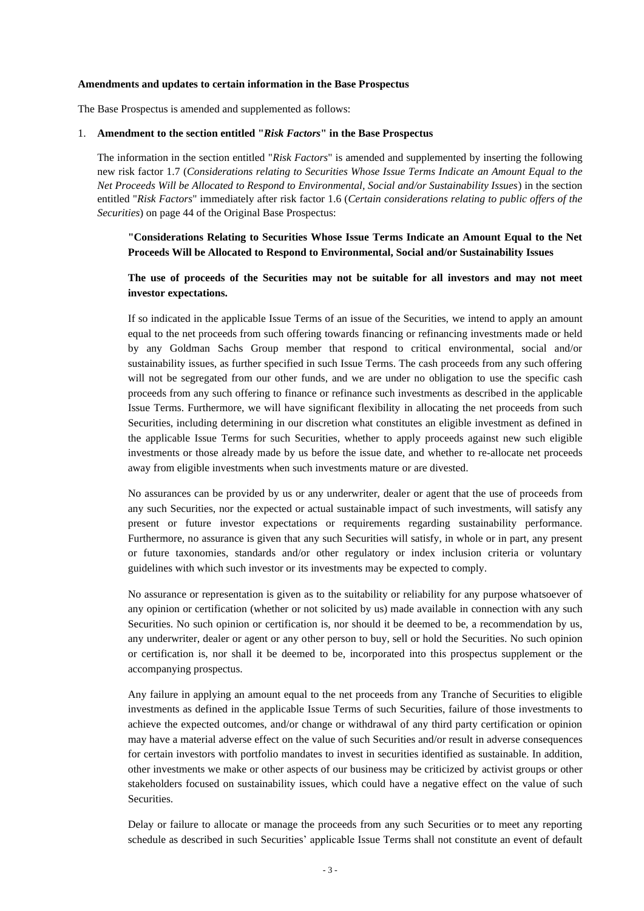#### **Amendments and updates to certain information in the Base Prospectus**

The Base Prospectus is amended and supplemented as follows:

#### 1. **Amendment to the section entitled "***Risk Factors***" in the Base Prospectus**

The information in the section entitled "*Risk Factors*" is amended and supplemented by inserting the following new risk factor 1.7 (*Considerations relating to Securities Whose Issue Terms Indicate an Amount Equal to the Net Proceeds Will be Allocated to Respond to Environmental, Social and/or Sustainability Issues*) in the section entitled "*Risk Factors*" immediately after risk factor 1.6 (*Certain considerations relating to public offers of the Securities*) on page 44 of the Original Base Prospectus:

**"Considerations Relating to Securities Whose Issue Terms Indicate an Amount Equal to the Net Proceeds Will be Allocated to Respond to Environmental, Social and/or Sustainability Issues** 

## **The use of proceeds of the Securities may not be suitable for all investors and may not meet investor expectations.**

If so indicated in the applicable Issue Terms of an issue of the Securities, we intend to apply an amount equal to the net proceeds from such offering towards financing or refinancing investments made or held by any Goldman Sachs Group member that respond to critical environmental, social and/or sustainability issues, as further specified in such Issue Terms. The cash proceeds from any such offering will not be segregated from our other funds, and we are under no obligation to use the specific cash proceeds from any such offering to finance or refinance such investments as described in the applicable Issue Terms. Furthermore, we will have significant flexibility in allocating the net proceeds from such Securities, including determining in our discretion what constitutes an eligible investment as defined in the applicable Issue Terms for such Securities, whether to apply proceeds against new such eligible investments or those already made by us before the issue date, and whether to re-allocate net proceeds away from eligible investments when such investments mature or are divested.

No assurances can be provided by us or any underwriter, dealer or agent that the use of proceeds from any such Securities, nor the expected or actual sustainable impact of such investments, will satisfy any present or future investor expectations or requirements regarding sustainability performance. Furthermore, no assurance is given that any such Securities will satisfy, in whole or in part, any present or future taxonomies, standards and/or other regulatory or index inclusion criteria or voluntary guidelines with which such investor or its investments may be expected to comply.

No assurance or representation is given as to the suitability or reliability for any purpose whatsoever of any opinion or certification (whether or not solicited by us) made available in connection with any such Securities. No such opinion or certification is, nor should it be deemed to be, a recommendation by us, any underwriter, dealer or agent or any other person to buy, sell or hold the Securities. No such opinion or certification is, nor shall it be deemed to be, incorporated into this prospectus supplement or the accompanying prospectus.

Any failure in applying an amount equal to the net proceeds from any Tranche of Securities to eligible investments as defined in the applicable Issue Terms of such Securities, failure of those investments to achieve the expected outcomes, and/or change or withdrawal of any third party certification or opinion may have a material adverse effect on the value of such Securities and/or result in adverse consequences for certain investors with portfolio mandates to invest in securities identified as sustainable. In addition, other investments we make or other aspects of our business may be criticized by activist groups or other stakeholders focused on sustainability issues, which could have a negative effect on the value of such Securities.

Delay or failure to allocate or manage the proceeds from any such Securities or to meet any reporting schedule as described in such Securities' applicable Issue Terms shall not constitute an event of default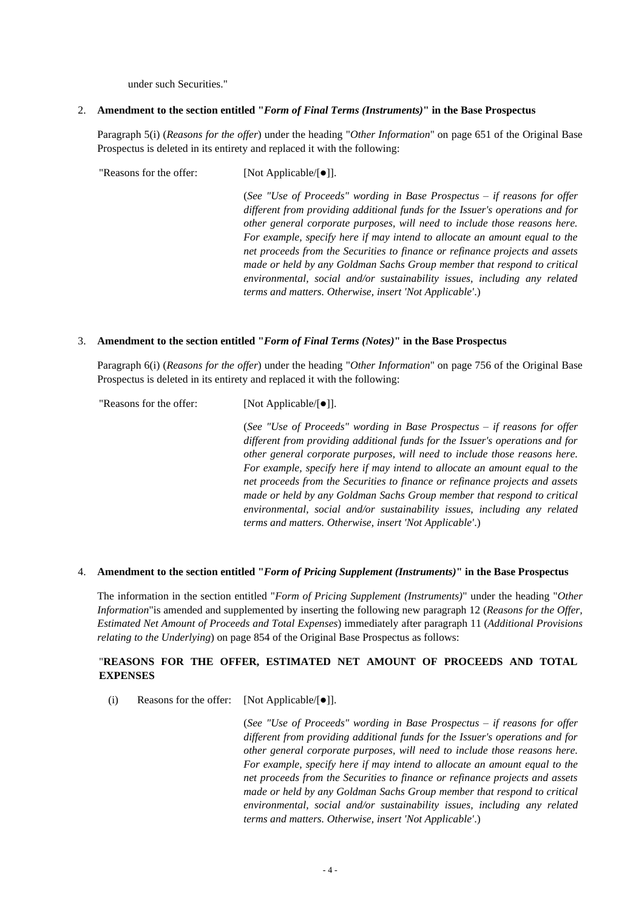under such Securities."

### 2. **Amendment to the section entitled "***Form of Final Terms (Instruments)***" in the Base Prospectus**

Paragraph 5(i) (*Reasons for the offer*) under the heading "*Other Information*" on page 651 of the Original Base Prospectus is deleted in its entirety and replaced it with the following:

"Reasons for the offer: [Not Applicable/[⚫]].

"Reasons for the offer: [Not Applicable/[⚫]].

(*See "Use of Proceeds" wording in Base Prospectus – if reasons for offer different from providing additional funds for the Issuer's operations and for other general corporate purposes, will need to include those reasons here. For example, specify here if may intend to allocate an amount equal to the net proceeds from the Securities to finance or refinance projects and assets made or held by any Goldman Sachs Group member that respond to critical environmental, social and/or sustainability issues, including any related terms and matters. Otherwise, insert 'Not Applicable'*.)

#### 3. **Amendment to the section entitled "***Form of Final Terms (Notes)***" in the Base Prospectus**

Paragraph 6(i) (*Reasons for the offer*) under the heading "*Other Information*" on page 756 of the Original Base Prospectus is deleted in its entirety and replaced it with the following:

> (*See "Use of Proceeds" wording in Base Prospectus – if reasons for offer different from providing additional funds for the Issuer's operations and for other general corporate purposes, will need to include those reasons here. For example, specify here if may intend to allocate an amount equal to the net proceeds from the Securities to finance or refinance projects and assets made or held by any Goldman Sachs Group member that respond to critical environmental, social and/or sustainability issues, including any related terms and matters. Otherwise, insert 'Not Applicable'*.)

#### 4. **Amendment to the section entitled "***Form of Pricing Supplement (Instruments)***" in the Base Prospectus**

The information in the section entitled "*Form of Pricing Supplement (Instruments)*" under the heading "*Other Information*"is amended and supplemented by inserting the following new paragraph 12 (*Reasons for the Offer, Estimated Net Amount of Proceeds and Total Expenses*) immediately after paragraph 11 (*Additional Provisions relating to the Underlying*) on page 854 of the Original Base Prospectus as follows:

# "**REASONS FOR THE OFFER, ESTIMATED NET AMOUNT OF PROCEEDS AND TOTAL EXPENSES**

(i) Reasons for the offer: [Not Applicable/[⚫]].

(*See "Use of Proceeds" wording in Base Prospectus – if reasons for offer different from providing additional funds for the Issuer's operations and for other general corporate purposes, will need to include those reasons here. For example, specify here if may intend to allocate an amount equal to the net proceeds from the Securities to finance or refinance projects and assets made or held by any Goldman Sachs Group member that respond to critical environmental, social and/or sustainability issues, including any related terms and matters. Otherwise, insert 'Not Applicable'*.)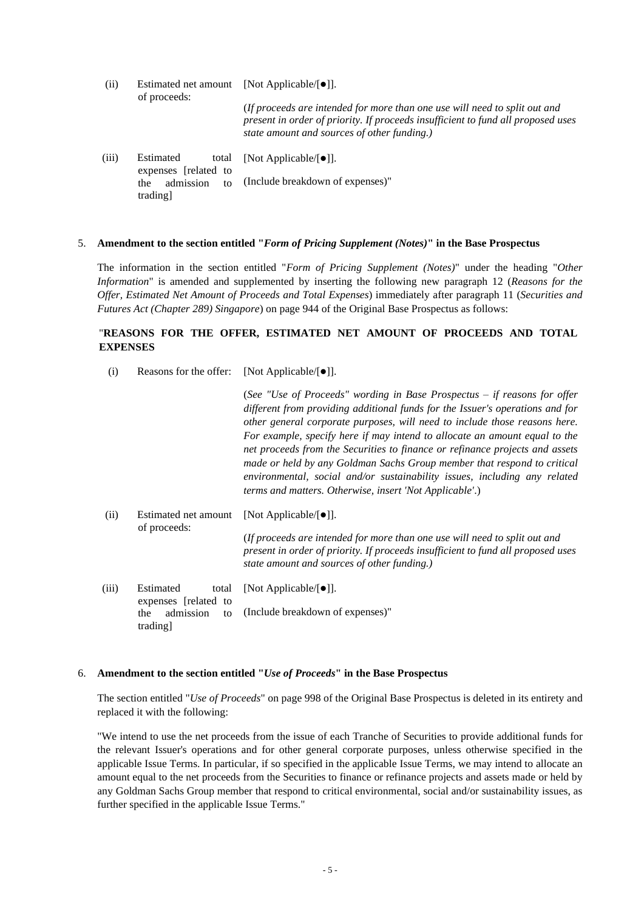| (ii)  | Estimated net amount<br>of proceeds:       | [Not Applicable/ $\lceil \bullet \rceil$ ].                                                                                                                                                                   |
|-------|--------------------------------------------|---------------------------------------------------------------------------------------------------------------------------------------------------------------------------------------------------------------|
|       |                                            | (If proceeds are intended for more than one use will need to split out and<br>present in order of priority. If proceeds insufficient to fund all proposed uses<br>state amount and sources of other funding.) |
| (iii) | Estimated<br>total<br>expenses [related to | [Not Applicable/ $\lceil \bullet \rceil$ ].                                                                                                                                                                   |
|       | admission<br>the<br>tΩ                     | (Include breakdown of expenses)"                                                                                                                                                                              |

#### 5. **Amendment to the section entitled "***Form of Pricing Supplement (Notes)***" in the Base Prospectus**

The information in the section entitled "*Form of Pricing Supplement (Notes)*" under the heading "*Other Information*" is amended and supplemented by inserting the following new paragraph 12 (*Reasons for the Offer, Estimated Net Amount of Proceeds and Total Expenses*) immediately after paragraph 11 (*Securities and Futures Act (Chapter 289) Singapore*) on page 944 of the Original Base Prospectus as follows:

# "**REASONS FOR THE OFFER, ESTIMATED NET AMOUNT OF PROCEEDS AND TOTAL EXPENSES**

(i) Reasons for the offer: [Not Applicable/[⚫]].

trading]

|       |                                                            | (See "Use of Proceeds" wording in Base Prospectus $-$ if reasons for offer<br>different from providing additional funds for the Issuer's operations and for<br>other general corporate purposes, will need to include those reasons here.<br>For example, specify here if may intend to allocate an amount equal to the<br>net proceeds from the Securities to finance or refinance projects and assets<br>made or held by any Goldman Sachs Group member that respond to critical<br>environmental, social and/or sustainability issues, including any related<br><i>terms and matters. Otherwise, insert 'Not Applicable'.)</i> |
|-------|------------------------------------------------------------|-----------------------------------------------------------------------------------------------------------------------------------------------------------------------------------------------------------------------------------------------------------------------------------------------------------------------------------------------------------------------------------------------------------------------------------------------------------------------------------------------------------------------------------------------------------------------------------------------------------------------------------|
| (ii)  | Estimated net amount<br>of proceeds:                       | [Not Applicable/ $[\bullet]$ ].                                                                                                                                                                                                                                                                                                                                                                                                                                                                                                                                                                                                   |
|       |                                                            | (If proceeds are intended for more than one use will need to split out and<br>present in order of priority. If proceeds insufficient to fund all proposed uses<br>state amount and sources of other funding.)                                                                                                                                                                                                                                                                                                                                                                                                                     |
| (iii) | Estimated<br>total                                         | [Not Applicable/ $\lceil \bullet \rceil$ ].                                                                                                                                                                                                                                                                                                                                                                                                                                                                                                                                                                                       |
|       | expenses [related to<br>admission<br>the<br>to<br>trading] | (Include breakdown of expenses)"                                                                                                                                                                                                                                                                                                                                                                                                                                                                                                                                                                                                  |

#### 6. **Amendment to the section entitled "***Use of Proceeds***" in the Base Prospectus**

The section entitled "*Use of Proceeds*" on page 998 of the Original Base Prospectus is deleted in its entirety and replaced it with the following:

"We intend to use the net proceeds from the issue of each Tranche of Securities to provide additional funds for the relevant Issuer's operations and for other general corporate purposes, unless otherwise specified in the applicable Issue Terms. In particular, if so specified in the applicable Issue Terms, we may intend to allocate an amount equal to the net proceeds from the Securities to finance or refinance projects and assets made or held by any Goldman Sachs Group member that respond to critical environmental, social and/or sustainability issues, as further specified in the applicable Issue Terms."